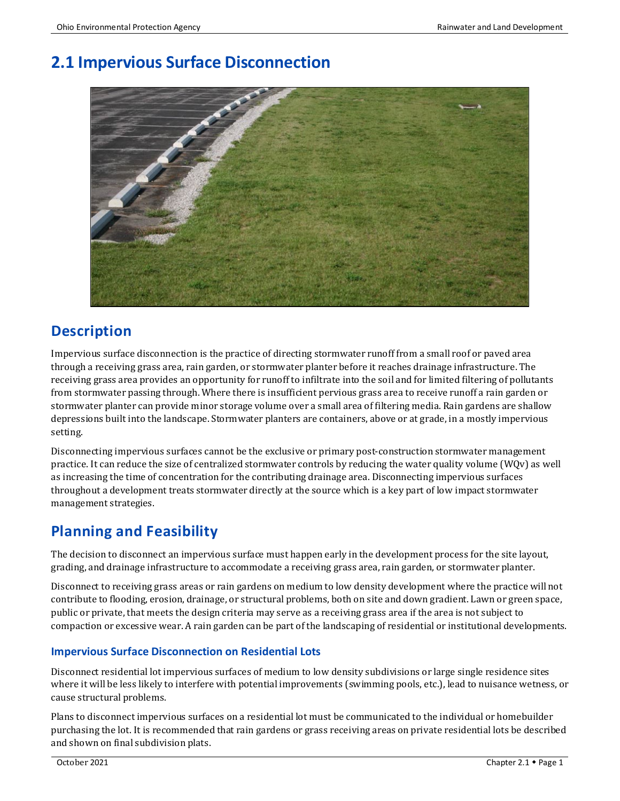# **2.1 Impervious Surface Disconnection**



## **Description**

Impervious surface disconnection is the practice of directing stormwater runoff from a small roof or paved area through a receiving grass area, rain garden, or stormwater planter before it reaches drainage infrastructure. The receiving grass area provides an opportunity for runoff to infiltrate into the soil and for limited filtering of pollutants from stormwater passing through. Where there is insufficient pervious grass area to receive runoff a rain garden or stormwater planter can provide minor storage volume over a small area of filtering media. Rain gardens are shallow depressions built into the landscape. Stormwater planters are containers, above or at grade, in a mostly impervious setting.

Disconnecting impervious surfaces cannot be the exclusive or primary post-construction stormwater management practice. It can reduce the size of centralized stormwater controls by reducing the water quality volume (WQv) as well as increasing the time of concentration for the contributing drainage area. Disconnecting impervious surfaces throughout a development treats stormwater directly at the source which is a key part of low impact stormwater management strategies.

## **Planning and Feasibility**

The decision to disconnect an impervious surface must happen early in the development process for the site layout, grading, and drainage infrastructure to accommodate a receiving grass area, rain garden, or stormwater planter.

Disconnect to receiving grass areas or rain gardens on medium to low density development where the practice will not contribute to flooding, erosion, drainage, or structural problems, both on site and down gradient. Lawn or green space, public or private, that meets the design criteria may serve as a receiving grass area if the area is not subject to compaction or excessive wear. A rain garden can be part of the landscaping of residential or institutional developments.

## **Impervious Surface Disconnection on Residential Lots**

Disconnect residential lot impervious surfaces of medium to low density subdivisions or large single residence sites where it will be less likely to interfere with potential improvements (swimming pools, etc.), lead to nuisance wetness, or cause structural problems.

Plans to disconnect impervious surfaces on a residential lot must be communicated to the individual or homebuilder purchasing the lot. It is recommended that rain gardens or grass receiving areas on private residential lots be described and shown on final subdivision plats.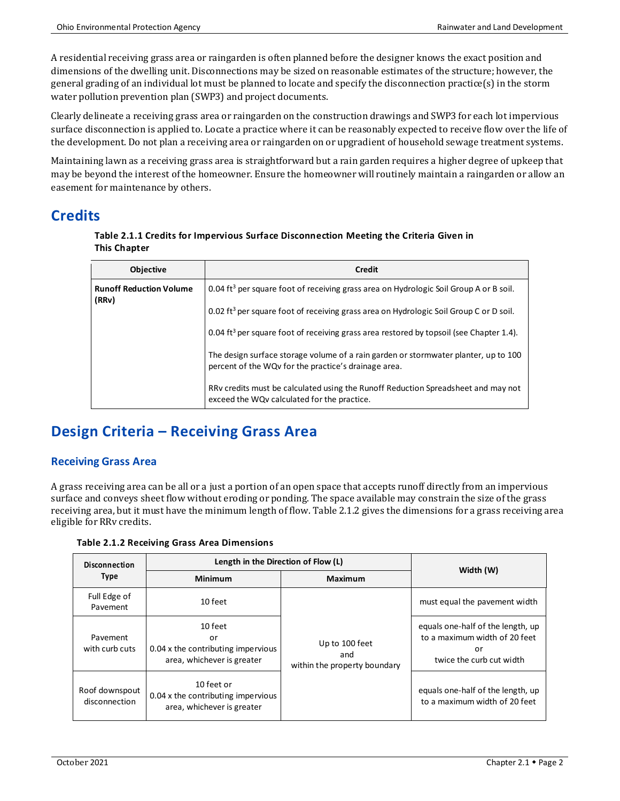A residential receiving grass area or raingarden is often planned before the designer knows the exact position and dimensions of the dwelling unit. Disconnections may be sized on reasonable estimates of the structure; however, the general grading of an individual lot must be planned to locate and specify the disconnection practice(s) in the storm water pollution prevention plan (SWP3) and project documents.

Clearly delineate a receiving grass area or raingarden on the construction drawings and SWP3 for each lot impervious surface disconnection is applied to. Locate a practice where it can be reasonably expected to receive flow over the life of the development. Do not plan a receiving area or raingarden on or upgradient of household sewage treatment systems.

Maintaining lawn as a receiving grass area is straightforward but a rain garden requires a higher degree of upkeep that may be beyond the interest of the homeowner. Ensure the homeowner will routinely maintain a raingarden or allow an easement for maintenance by others.

## **Credits**

#### **Table 2.1.1 Credits for Impervious Surface Disconnection Meeting the Criteria Given in This Chapter**

| <b>Objective</b>                        | Credit                                                                                                                                      |  |
|-----------------------------------------|---------------------------------------------------------------------------------------------------------------------------------------------|--|
| <b>Runoff Reduction Volume</b><br>(RRv) | 0.04 ft <sup>3</sup> per square foot of receiving grass area on Hydrologic Soil Group A or B soil.                                          |  |
|                                         | 0.02 ft <sup>3</sup> per square foot of receiving grass area on Hydrologic Soil Group C or D soil.                                          |  |
|                                         | 0.04 ft <sup>3</sup> per square foot of receiving grass area restored by topsoil (see Chapter 1.4).                                         |  |
|                                         | The design surface storage volume of a rain garden or stormwater planter, up to 100<br>percent of the WQv for the practice's drainage area. |  |
|                                         | RRv credits must be calculated using the Runoff Reduction Spreadsheet and may not<br>exceed the WQv calculated for the practice.            |  |

## **Design Criteria – Receiving Grass Area**

## **Receiving Grass Area**

A grass receiving area can be all or a just a portion of an open space that accepts runoff directly from an impervious surface and conveys sheet flow without eroding or ponding. The space available may constrain the size of the grass receiving area, but it must have the minimum length of flow. Table 2.1.2 gives the dimensions for a grass receiving area eligible for RRv credits.

**Table 2.1.2 Receiving Grass Area Dimensions**

| <b>Disconnection</b><br><b>Type</b> | Length in the Direction of Flow (L)                                               |                                                       |                                                                                                      |
|-------------------------------------|-----------------------------------------------------------------------------------|-------------------------------------------------------|------------------------------------------------------------------------------------------------------|
|                                     | <b>Minimum</b>                                                                    | Maximum                                               | Width (W)                                                                                            |
| Full Edge of<br>Pavement            | 10 feet                                                                           |                                                       | must equal the pavement width                                                                        |
| Pavement<br>with curb cuts          | 10 feet<br>or<br>0.04 x the contributing impervious<br>area, whichever is greater | Up to 100 feet<br>and<br>within the property boundary | equals one-half of the length, up<br>to a maximum width of 20 feet<br>or<br>twice the curb cut width |
| Roof downspout<br>disconnection     | 10 feet or<br>0.04 x the contributing impervious<br>area, whichever is greater    |                                                       | equals one-half of the length, up<br>to a maximum width of 20 feet                                   |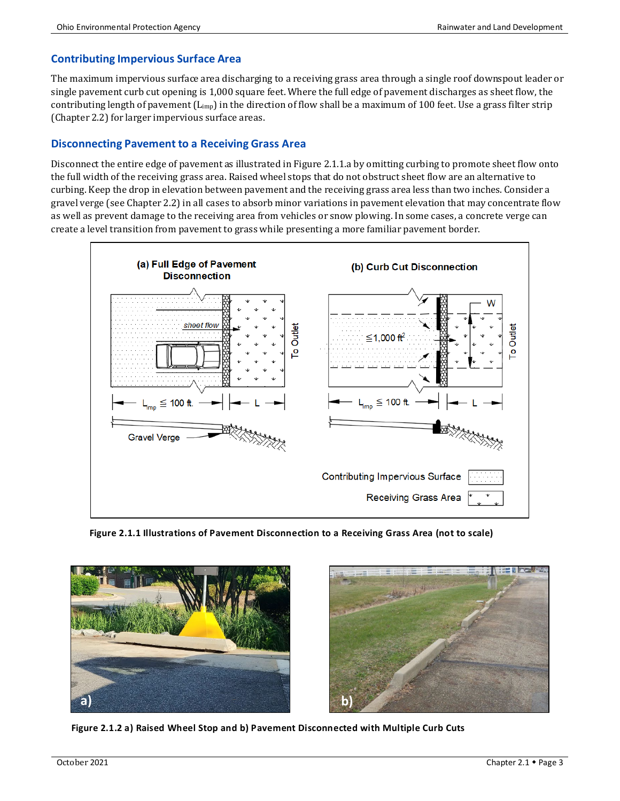### **Contributing Impervious Surface Area**

The maximum impervious surface area discharging to a receiving grass area through a single roof downspout leader or single pavement curb cut opening is 1,000 square feet. Where the full edge of pavement discharges as sheet flow, the contributing length of pavement  $(L_{\text{imp}})$  in the direction of flow shall be a maximum of 100 feet. Use a grass filter strip (Chapter 2.2) for larger impervious surface areas.

### **Disconnecting Pavement to a Receiving Grass Area**

Disconnect the entire edge of pavement as illustrated in Figure 2.1.1.a by omitting curbing to promote sheet flow onto the full width of the receiving grass area. Raised wheel stops that do not obstruct sheet flow are an alternative to curbing. Keep the drop in elevation between pavement and the receiving grass area less than two inches. Consider a gravel verge (see Chapter 2.2) in all cases to absorb minor variations in pavement elevation that may concentrate flow as well as prevent damage to the receiving area from vehicles or snow plowing. In some cases, a concrete verge can create a level transition from pavement to grass while presenting a more familiar pavement border.



**Figure 2.1.1 Illustrations of Pavement Disconnection to a Receiving Grass Area (not to scale)**





 **Figure 2.1.2 a) Raised Wheel Stop and b) Pavement Disconnected with Multiple Curb Cuts**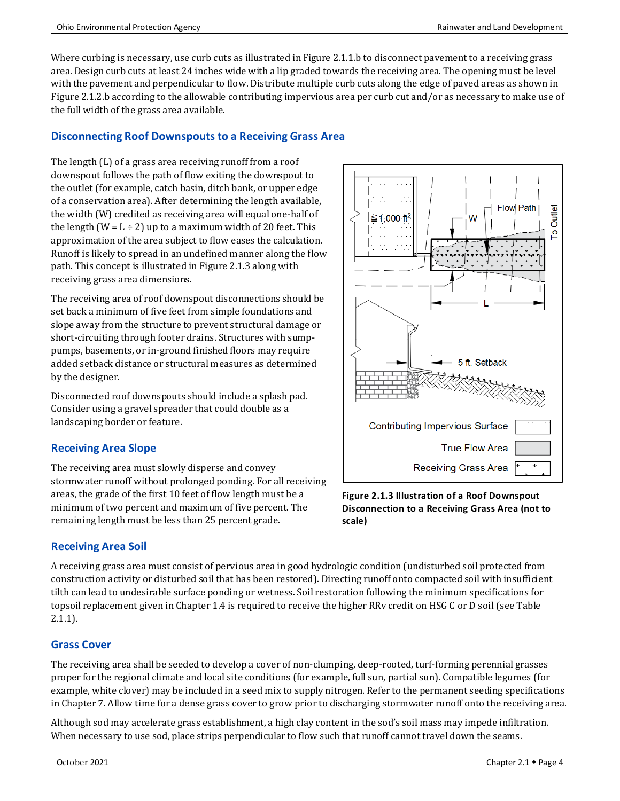Where curbing is necessary, use curb cuts as illustrated in Figure 2.1.1.b to disconnect pavement to a receiving grass area. Design curb cuts at least 24 inches wide with a lip graded towards the receiving area. The opening must be level with the pavement and perpendicular to flow. Distribute multiple curb cuts along the edge of paved areas as shown in Figure 2.1.2.b according to the allowable contributing impervious area per curb cut and/or as necessary to make use of the full width of the grass area available.

### **Disconnecting Roof Downspouts to a Receiving Grass Area**

The length (L) of a grass area receiving runoff from a roof downspout follows the path of flow exiting the downspout to the outlet (for example, catch basin, ditch bank, or upper edge of a conservation area). After determining the length available, the width (W) credited as receiving area will equal one-half of the length  $(W = L \div 2)$  up to a maximum width of 20 feet. This approximation of the area subject to flow eases the calculation. Runoff is likely to spread in an undefined manner along the flow path. This concept is illustrated in Figure 2.1.3 along with receiving grass area dimensions.

The receiving area of roof downspout disconnections should be set back a minimum of five feet from simple foundations and slope away from the structure to prevent structural damage or short-circuiting through footer drains. Structures with sumppumps, basements, or in-ground finished floors may require added setback distance or structural measures as determined by the designer.

Disconnected roof downspouts should include a splash pad. Consider using a gravel spreader that could double as a landscaping border or feature.

### **Receiving Area Slope**

The receiving area must slowly disperse and convey stormwater runoff without prolonged ponding. For all receiving areas, the grade of the first 10 feet of flow length must be a minimum of two percent and maximum of five percent. The remaining length must be less than 25 percent grade.

### **Receiving Area Soil**

A receiving grass area must consist of pervious area in good hydrologic condition (undisturbed soil protected from construction activity or disturbed soil that has been restored). Directing runoff onto compacted soil with insufficient tilth can lead to undesirable surface ponding or wetness. Soil restoration following the minimum specifications for topsoil replacement given in Chapter 1.4 is required to receive the higher RRv credit on HSG C or D soil (see Table 2.1.1).

### **Grass Cover**

The receiving area shall be seeded to develop a cover of non-clumping, deep-rooted, turf-forming perennial grasses proper for the regional climate and local site conditions (for example, full sun, partial sun). Compatible legumes (for example, white clover) may be included in a seed mix to supply nitrogen. Refer to the permanent seeding specifications in Chapter 7. Allow time for a dense grass cover to grow prior to discharging stormwater runoff onto the receiving area.

Although sod may accelerate grass establishment, a high clay content in the sod's soil mass may impede infiltration. When necessary to use sod, place strips perpendicular to flow such that runoff cannot travel down the seams.



**Figure 2.1.3 Illustration of a Roof Downspout Disconnection to a Receiving Grass Area (not to scale)**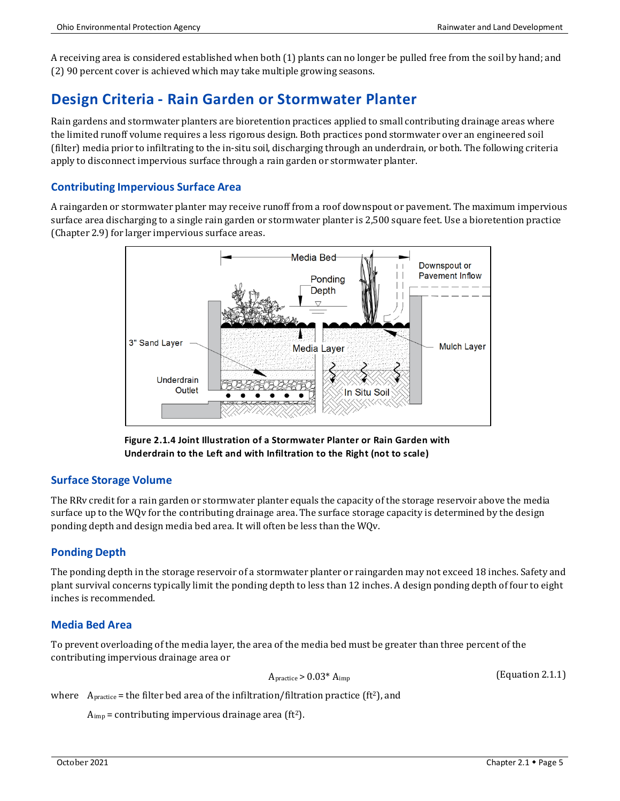A receiving area is considered established when both (1) plants can no longer be pulled free from the soil by hand; and (2) 90 percent cover is achieved which may take multiple growing seasons.

## **Design Criteria - Rain Garden or Stormwater Planter**

Rain gardens and stormwater planters are bioretention practices applied to small contributing drainage areas where the limited runoff volume requires a less rigorous design. Both practices pond stormwater over an engineered soil (filter) media prior to infiltrating to the in-situ soil, discharging through an underdrain, or both. The following criteria apply to disconnect impervious surface through a rain garden or stormwater planter.

### **Contributing Impervious Surface Area**

A raingarden or stormwater planter may receive runoff from a roof downspout or pavement. The maximum impervious surface area discharging to a single rain garden or stormwater planter is 2,500 square feet. Use a bioretention practice (Chapter 2.9) for larger impervious surface areas.



**Figure 2.1.4 Joint Illustration of a Stormwater Planter or Rain Garden with Underdrain to the Left and with Infiltration to the Right (not to scale)**

### **Surface Storage Volume**

The RRv credit for a rain garden or stormwater planter equals the capacity of the storage reservoir above the media surface up to the WQv for the contributing drainage area. The surface storage capacity is determined by the design ponding depth and design media bed area. It will often be less than the WQv.

### **Ponding Depth**

The ponding depth in the storage reservoir of a stormwater planter or raingarden may not exceed 18 inches. Safety and plant survival concerns typically limit the ponding depth to less than 12 inches. A design ponding depth of four to eight inches is recommended.

### **Media Bed Area**

To prevent overloading of the media layer, the area of the media bed must be greater than three percent of the contributing impervious drainage area or

 $A<sub>practive</sub> > 0.03* A<sub>imp</sub>$ 

(Equation 2.1.1)

where  $A_{\text{practive}}$  = the filter bed area of the infiltration/filtration practice (ft<sup>2</sup>), and

 $A_{\text{imp}}$  = contributing impervious drainage area (ft<sup>2</sup>).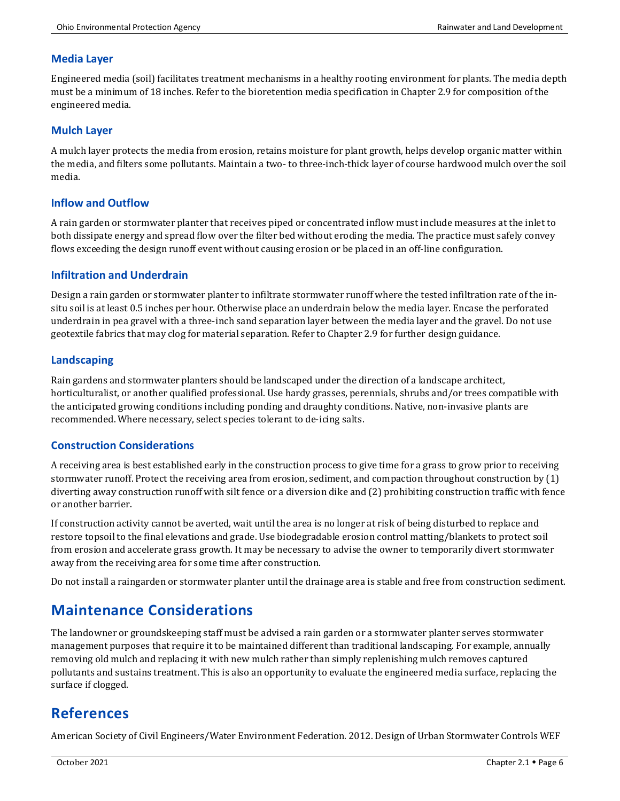### **Media Layer**

Engineered media (soil) facilitates treatment mechanisms in a healthy rooting environment for plants. The media depth must be a minimum of 18 inches. Refer to the bioretention media specification in Chapter 2.9 for composition of the engineered media.

#### **Mulch Layer**

A mulch layer protects the media from erosion, retains moisture for plant growth, helps develop organic matter within the media, and filters some pollutants. Maintain a two- to three-inch-thick layer of course hardwood mulch over the soil media.

### **Inflow and Outflow**

A rain garden or stormwater planter that receives piped or concentrated inflow must include measures at the inlet to both dissipate energy and spread flow over the filter bed without eroding the media. The practice must safely convey flows exceeding the design runoff event without causing erosion or be placed in an off-line configuration.

### **Infiltration and Underdrain**

Design a rain garden or stormwater planter to infiltrate stormwater runoff where the tested infiltration rate of the insitu soil is at least 0.5 inches per hour. Otherwise place an underdrain below the media layer. Encase the perforated underdrain in pea gravel with a three-inch sand separation layer between the media layer and the gravel. Do not use geotextile fabrics that may clog for material separation. Refer to Chapter 2.9 for further design guidance.

### **Landscaping**

Rain gardens and stormwater planters should be landscaped under the direction of a landscape architect, horticulturalist, or another qualified professional. Use hardy grasses, perennials, shrubs and/or trees compatible with the anticipated growing conditions including ponding and draughty conditions. Native, non-invasive plants are recommended. Where necessary, select species tolerant to de-icing salts.

### **Construction Considerations**

A receiving area is best established early in the construction process to give time for a grass to grow prior to receiving stormwater runoff. Protect the receiving area from erosion, sediment, and compaction throughout construction by (1) diverting away construction runoff with silt fence or a diversion dike and (2) prohibiting construction traffic with fence or another barrier.

If construction activity cannot be averted, wait until the area is no longer at risk of being disturbed to replace and restore topsoil to the final elevations and grade. Use biodegradable erosion control matting/blankets to protect soil from erosion and accelerate grass growth. It may be necessary to advise the owner to temporarily divert stormwater away from the receiving area for some time after construction.

Do not install a raingarden or stormwater planter until the drainage area is stable and free from construction sediment.

## **Maintenance Considerations**

The landowner or groundskeeping staff must be advised a rain garden or a stormwater planter serves stormwater management purposes that require it to be maintained different than traditional landscaping. For example, annually removing old mulch and replacing it with new mulch rather than simply replenishing mulch removes captured pollutants and sustains treatment. This is also an opportunity to evaluate the engineered media surface, replacing the surface if clogged.

## **References**

American Society of Civil Engineers/Water Environment Federation. 2012. Design of Urban Stormwater Controls WEF